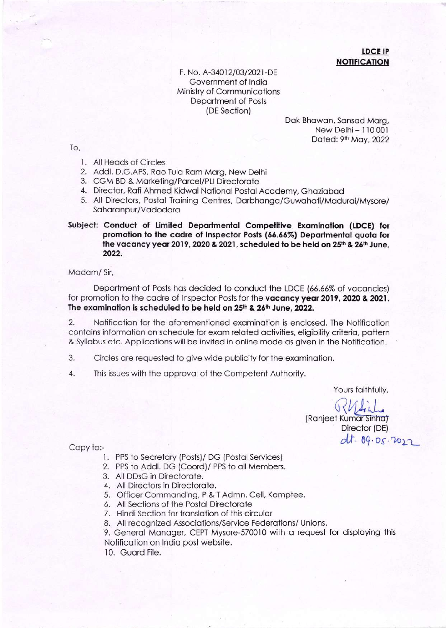## **LDCE IP NOTIFICATION**

F. No. A-34012/03/2021-DE Government of India Ministry of Communications Department of Posts (DE Section)

> Dak Bhawan, Sansad Marg, New Delhi - 110 001 Dated: 9th May, 2022

To,

- 1. All Heads of Circles
- 2. Addl. D.G.APS, Rao Tula Ram Marg, New Delhi
- 3. CGM BD & Marketing/Parcel/PLI Directorate
- 4. Director, Rafi Ahmed Kidwai National Postal Academy, Ghaziabad
- 5. All Directors, Postal Training Centres, Darbhanga/Guwahati/Madurai/Mysore/ Saharanpur/Vadodara

## Subject: Conduct of Limited Departmental Competitive Examination (LDCE) for promotion to the cadre of Inspector Posts (66.66%) Departmental quota for the vacancy year 2019, 2020 & 2021, scheduled to be held on 25<sup>th</sup> & 26<sup>th</sup> June, 2022.

Madam/Sir,

Department of Posts has decided to conduct the LDCE (66.66% of vacancies) for promotion to the cadre of Inspector Posts for the vacancy year 2019, 2020 & 2021. The examination is scheduled to be held on 25th & 26th June, 2022.

 $\overline{2}$ . Notification for the aforementioned examination is enclosed. The Notification contains information on schedule for exam related activities, eligibility criteria, pattern & Syllabus etc. Applications will be invited in online mode as given in the Notification.

- 3. Circles are requested to give wide publicity for the examination.
- 4. This issues with the approval of the Competent Authority.

Yours faithfully,

(Ranjeet Kumar Sinha) Director (DE) dt. 09.05.2022

Copy to:-

- 1. PPS to Secretary (Posts)/ DG (Postal Services)
- 2. PPS to Addl. DG (Coord)/ PPS to all Members.
- 3. All DDsG in Directorate.
- 4. All Directors in Directorate.
- 5. Officer Commanding, P & T Admn. Cell, Kamptee.
- 6. All Sections of the Postal Directorate
- 7. Hindi Section for translation of this circular
- 8. All recognized Associations/Service Federations/ Unions.

9. General Manager, CEPT Mysore-570010 with a request for displaying this Notification on India post website.

10. Guard File.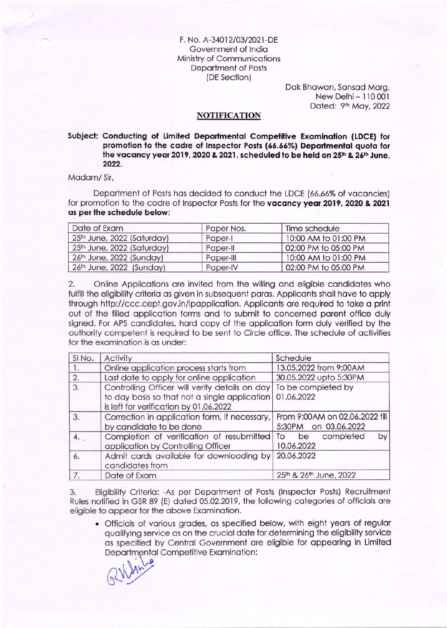F. No. A-34012/03/2021-DE Government of lndio Ministry of Communicotions Deportment of Posts (DE Section)

> Dok Bhowon, Sonsod Morg, New Delhi- 110 001 Dated: 9<sup>th</sup> May, 2022

## **NOTIFICATION**

## Subject: Conducting of Limited Departmental Competitive Examination (LDCE) for promotion to the cadre of Inspector Posts (66.66%) Departmental quota for the vacancy year 2019, 2020 & 2021, scheduled to be held on 25th & 26th June, 2022.

Modom/ Sir,

Department of Posts has decided to conduct the LDCE (66.66% of vacancies) for promotion to the cadre of Inspector Posts for the vacancy year 2019, 2020 & 2021 os per the schedule below:

| Date of Exam                           | Paper Nos. | Time schedule        |
|----------------------------------------|------------|----------------------|
| 25 <sup>th</sup> June, 2022 (Saturday) | Paper-I    | 10:00 AM to 01:00 PM |
| 25 <sup>th</sup> June, 2022 (Saturday) | Paper-II   | 02:00 PM to 05:00 PM |
| 26th June, 2022 (Sunday)               | Paper-III  | 10:00 AM to 01:00 PM |
| 26th June, 2022 (Sunday)               | Paper-IV   | 02:00 PM to 05:00 PM |

2. Online Applicotions ore invited from the willing ond eligible condidotes who fulfill the eligibility criteria as given in subsequent paras. Applicants shall have to apply lhrough http://ccc.cept.gov.in/ipopplicotion. Appliconts ore required to toke o print out of the filled opplicotion forms ond to submit to concerned porent office duly signed. For APS candidates, hard copy of the application form duly verified by the outhority competent is required to be sent to Circle office. The schedule of oclivities for the examination is as under:

| SINO. | <b>Activity</b>                                                                                                                                                | Schedule                                               |  |
|-------|----------------------------------------------------------------------------------------------------------------------------------------------------------------|--------------------------------------------------------|--|
|       | Online application process starts from                                                                                                                         | 13.05.2022 from 9:00AM                                 |  |
| 2.    | Last date to apply for online application                                                                                                                      | 30.05.2022 upto 5:30PM                                 |  |
| 3.    | Controlling Officer will verify details on day   To be completed by<br>to day basis so that not a single application<br>is left for verification by 01.06.2022 | 01.06.2022                                             |  |
| 3.    | Correction in application form, if necessary,<br>by candidate to be done                                                                                       | From 9:00AM on 02.06.2022 fill<br>5:30PM on 03.06.2022 |  |
| 4.    | Completion of verification of resubmitted<br>application by Controlling Officer                                                                                | by<br>completed<br>be<br>To<br>10.06.2022              |  |
| 6.    | Admit cards available for downloading by<br>candidates from                                                                                                    | 20.06.2022                                             |  |
| 7.    | Date of Exam                                                                                                                                                   | 25th & 26th June, 2022                                 |  |

3. Eligibility Criterio: -As per Deportment of Posts (lnspector Posts) Recruitment Rules notified in GSR 89 (E) dated 05.02.2019, the following categories of officials are eligible to oppeor for the obove Exominotion.

. Officiols of vorious grodes, os specified below, with eight yeors of regulor quolifying service os on the cruciol dote for determining the eligibility service os specified by Centrol Government ore eligible for oppeoring in Limited Departmental Competitive Examination: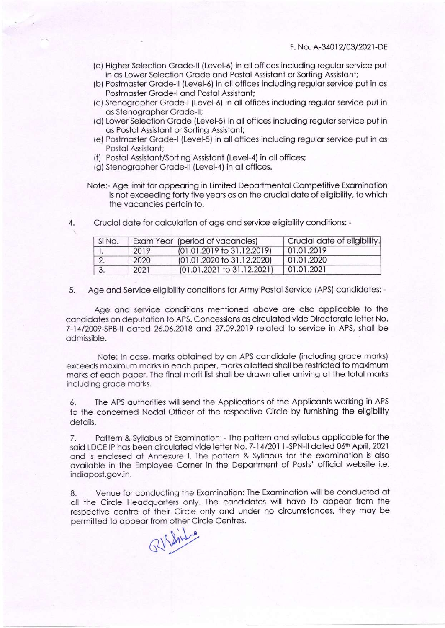- (o) Higher Selection Grode-ll (Level-6) in oll offices including regulor service put in as Lower Selection Grade and Postal Assistant or Sorting Assistant;
- (b) Postmoster Grode-ll (Level-6) in oll offices including regulor service put in os Postmoster Grode-l ond Postol Assistont;
- (c) Stenogropher Grode-l (Level-5) in oll offices including regulor service put in os Stenogropher Grode-ll;
- (d) Lower Selection Grode (Level-S) in oll offices including regulor service put in os Postol Assistont or Sorting Assistont;
- (e) Postmoster Grode-l (Level-S) in oll offices including regulor service put in os Postol Assistont;
- (f) Postol Assistont/Sorting Assistont (Level-4) in oll offices;
- (g) Stenographer Grade-II (Level-4) in all offices.
- Note:- Age limit for oppeoring in Limiled Deportmentol Competitive Exominotion is not exceeding forty five years as on the crucial date of eligibility, to which the voconcies pertoin to.
- 4. Cruciol dote for colculotion of oge ond service eligibility conditions:-

| Si No. |      | Exam Year (period of vacancies) | Crucial date of eligibility. |
|--------|------|---------------------------------|------------------------------|
|        | 2019 | $(01.01.2019$ to 31.12.2019)    | 01.01.2019                   |
|        | 2020 | (01.01.2020 to 31.12.2020)      | 01.01.2020                   |
|        | 2021 | (01.01.2021 to 31.12.2021)      | 01.01.2021                   |

5. Age and Service eligibility conditions for Army Postal Service (APS) candidates: -

Age and service conditions mentioned above are also applicable to the candidates on deputation to APS. Concessions as circulated vide Directorate letter No. 7-14/2009-SPB-II dated 26.06.2018 and 27.09.2019 related to service in APS, shall be odmissible.

Note: ln cose, morks obtoined by on APS condidote (including groce morks) exceeds maximum marks in each paper, marks allotted shall be restricted to maximum morks of eoch poper. The finol merit list sholl be drown ofter orriving of the totol morks including groce morks.

6. The APS outhorities will send the Applicotions of the Appliconts working in APS to the concerned Nodol Officer of the respective Circle by furnishing the eligibility detoils.

7. Pottern & Syllobus of Exominotion:- The pottern ond syllobus opplicoble for the said LDCE IP has been circulated vide letter No. 7-14/2011-SPN-II dated 06th April, 2021 ond is enclosed ot Annexure l. The pottern & Syllobus for lhe exominotion is olso available in the Employee Corner in the Department of Posts' official website i.e. indiopost.gov.in.

8. Venue for conducting the Exominotion: The Exominotion will be conducted ot oll the Circle Heodquorters only. The condidotes will hove to oppeor from the respective centre of their Circle only and under no circumstances, they may be permitted to oppeor from other Circle Centres.